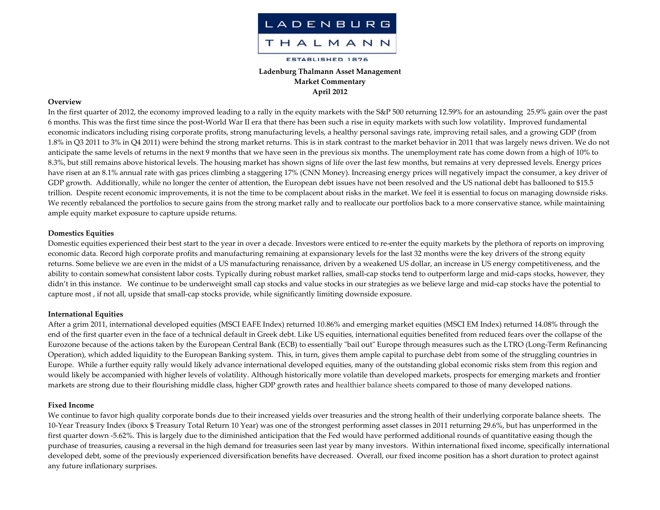

# **Ladenburg Thalmann Asset Management Market Commentary April 2012**

## **Overview**

In the first quarter of 2012, the economy improved leading to <sup>a</sup> rally in the equity markets with the S&P 500 returning 12.59% for an astounding 25.9% gain over the pas<sup>t</sup> 6 months. This was the first time since the post‐World War II era that there has been such <sup>a</sup> rise in equity markets with such low volatility**.** Improved fundamental economic indicators including rising corporate profits, strong manufacturing levels, <sup>a</sup> healthy personal savings rate, improving retail sales, and <sup>a</sup> growing GDP (from 1.8% in Q3 2011 to 3% in Q4 2011) were behind the strong market returns. This is in stark contrast to the market behavior in 2011 that was largely news driven. We do not anticipate the same levels of returns in the next 9 months that we have seen in the previous six months. The unemployment rate has come down from <sup>a</sup> high of 10% to 8.3%, but still remains above historical levels. The housing market has shown signs of life over the last few months, but remains at very depressed levels. Energy prices have risen at an 8.1% annual rate with gas prices climbing <sup>a</sup> staggering 17% (CNN Money). Increasing energy prices will negatively impact the consumer, <sup>a</sup> key driver of GDP growth. Additionally, while no longer the center of attention, the European debt issues have not been resolved and the US national debt has ballooned to \$15.5 trillion. Despite recent economic improvements, it is not the time to be complacent about risks in the market. We feel it is essential to focus on managing downside risks. We recently rebalanced the portfolios to secure gains from the strong market rally and to reallocate our portfolios back to <sup>a</sup> more conservative stance, while maintaining ample equity market exposure to capture upside returns.

## **Domestics Equities**

Domestic equities experienced their best start to the year in over <sup>a</sup> decade. Investors were enticed to re‐enter the equity markets by the plethora of reports on improving economic data. Record high corporate profits and manufacturing remaining at expansionary levels for the last 32 months were the key drivers of the strong equity returns. Some believe we are even in the midst of <sup>a</sup> US manufacturing renaissance, driven by <sup>a</sup> weakened US dollar, an increase in US energy competitiveness, and the ability to contain somewhat consistent labor costs. Typically during robust market rallies, small‐cap stocks tend to outperform large and mid‐caps stocks, however, they didn't in this instance. We continue to be underweight small cap stocks and value stocks in our strategies as we believe large and mid‐cap stocks have the potential to capture most , if not all, upside that small‐cap stocks provide, while significantly limiting downside exposure.

#### **International Equities**

After a grim 2011, international developed equities (MSCI EAFE Index) returned 10.86% and emerging market equities (MSCI EM Index) returned 14.08% through the end of the first quarter even in the face of <sup>a</sup> technical default in Greek debt. Like US equities, international equities benefited from reduced fears over the collapse of the Eurozone because of the actions taken by the European Central Bank (ECB) to essentially "bail out" Europe through measures such as the LTRO (Long-Term Refinancing Operation), which added liquidity to the European Banking system. This, in turn, gives them ample capital to purchase debt from some of the struggling countries in Europe. While <sup>a</sup> further equity rally would likely advance international developed equities, many of the outstanding global economic risks stem from this region and would likely be accompanied with higher levels of volatility. Although historically more volatile than developed markets, prospects for emerging markets and frontier markets are strong due to their flourishing middle class, higher GDP growth rates and healthier balance sheets compared to those of many developed nations.

#### **Fixed Income**

We continue to favor high quality corporate bonds due to their increased yields over treasuries and the strong health of their underlying corporate balance sheets. The 10‐Year Treasury Index (iboxx \$ Treasury Total Return 10 Year) was one of the strongest performing asset classes in 2011 returning 29.6%, but has unperformed in the first quarter down ‐5.62%. This is largely due to the diminished anticipation that the Fed would have performed additional rounds of quantitative easing though the purchase of treasuries, causing <sup>a</sup> reversal in the high demand for treasuries seen last year by many investors. Within international fixed income, specifically international developed debt, some of the previously experienced diversification benefits have decreased. Overall, our fixed income position has <sup>a</sup> short duration to protect against any future inflationary surprises.